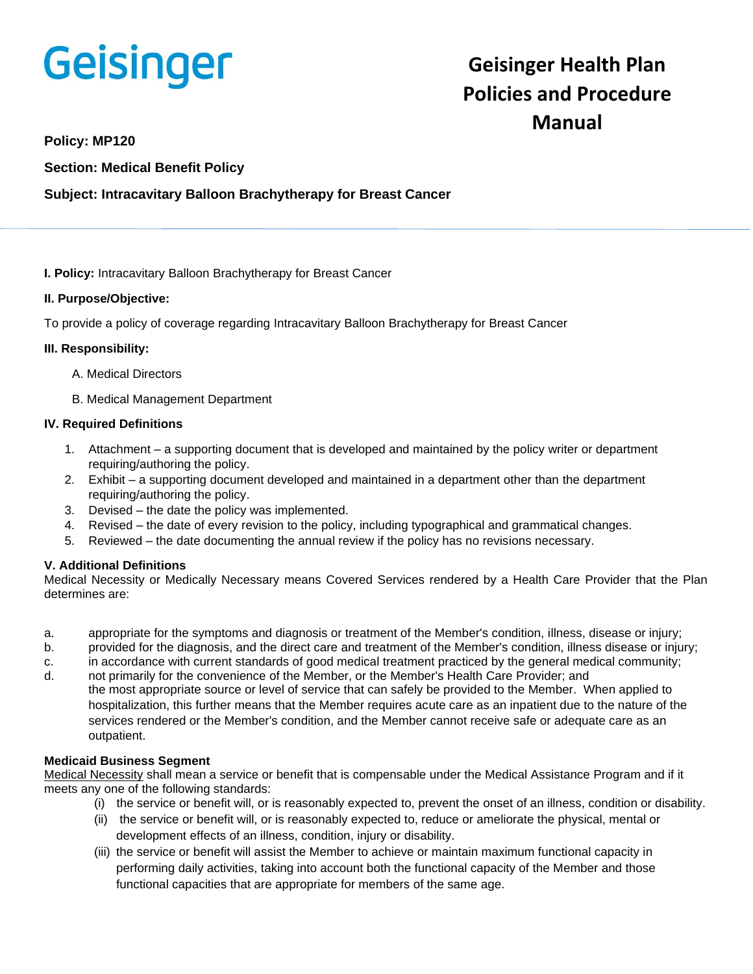# **Geisinger**

# **Geisinger Health Plan Policies and Procedure Manual**

**Policy: MP120**

**Section: Medical Benefit Policy**

# **Subject: Intracavitary Balloon Brachytherapy for Breast Cancer**

**I. Policy:** Intracavitary Balloon Brachytherapy for Breast Cancer

## **II. Purpose/Objective:**

To provide a policy of coverage regarding Intracavitary Balloon Brachytherapy for Breast Cancer

#### **III. Responsibility:**

- A. Medical Directors
- B. Medical Management Department

#### **IV. Required Definitions**

- 1. Attachment a supporting document that is developed and maintained by the policy writer or department requiring/authoring the policy.
- 2. Exhibit a supporting document developed and maintained in a department other than the department requiring/authoring the policy.
- 3. Devised the date the policy was implemented.
- 4. Revised the date of every revision to the policy, including typographical and grammatical changes.
- 5. Reviewed the date documenting the annual review if the policy has no revisions necessary.

## **V. Additional Definitions**

Medical Necessity or Medically Necessary means Covered Services rendered by a Health Care Provider that the Plan determines are:

- a. appropriate for the symptoms and diagnosis or treatment of the Member's condition, illness, disease or injury;
- b. provided for the diagnosis, and the direct care and treatment of the Member's condition, illness disease or injury;
- c. in accordance with current standards of good medical treatment practiced by the general medical community;
- d. not primarily for the convenience of the Member, or the Member's Health Care Provider; and the most appropriate source or level of service that can safely be provided to the Member. When applied to hospitalization, this further means that the Member requires acute care as an inpatient due to the nature of the services rendered or the Member's condition, and the Member cannot receive safe or adequate care as an outpatient.

## **Medicaid Business Segment**

Medical Necessity shall mean a service or benefit that is compensable under the Medical Assistance Program and if it meets any one of the following standards:

- (i) the service or benefit will, or is reasonably expected to, prevent the onset of an illness, condition or disability.
- (ii) the service or benefit will, or is reasonably expected to, reduce or ameliorate the physical, mental or development effects of an illness, condition, injury or disability.
- (iii) the service or benefit will assist the Member to achieve or maintain maximum functional capacity in performing daily activities, taking into account both the functional capacity of the Member and those functional capacities that are appropriate for members of the same age.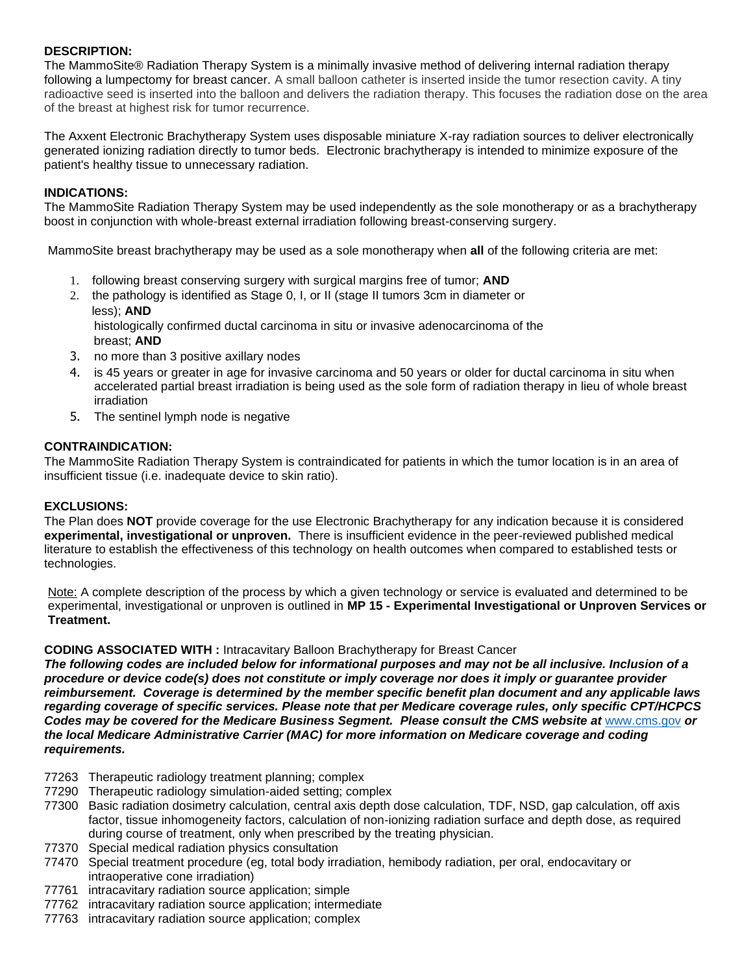#### **DESCRIPTION:**

The MammoSite® Radiation Therapy System is a minimally invasive method of delivering internal radiation therapy following a lumpectomy for breast cancer. A small balloon catheter is inserted inside the tumor resection cavity. A tiny radioactive seed is inserted into the balloon and delivers the radiation therapy. This focuses the radiation dose on the area of the breast at highest risk for tumor recurrence.

The Axxent Electronic Brachytherapy System uses disposable miniature X-ray radiation sources to deliver electronically generated ionizing radiation directly to tumor beds. Electronic brachytherapy is intended to minimize exposure of the patient's healthy tissue to unnecessary radiation.

#### **INDICATIONS:**

The MammoSite Radiation Therapy System may be used independently as the sole monotherapy or as a brachytherapy boost in conjunction with whole-breast external irradiation following breast-conserving surgery.

MammoSite breast brachytherapy may be used as a sole monotherapy when **all** of the following criteria are met:

- 1. following breast conserving surgery with surgical margins free of tumor; **AND**
- 2. the pathology is identified as Stage 0, I, or II (stage II tumors 3cm in diameter or less); **AND**

histologically confirmed ductal carcinoma in situ or invasive adenocarcinoma of the breast; **AND**

- 3. no more than 3 positive axillary nodes
- 4. is 45 years or greater in age for invasive carcinoma and 50 years or older for ductal carcinoma in situ when accelerated partial breast irradiation is being used as the sole form of radiation therapy in lieu of whole breast irradiation
- 5. The sentinel lymph node is negative

#### **CONTRAINDICATION:**

The MammoSite Radiation Therapy System is contraindicated for patients in which the tumor location is in an area of insufficient tissue (i.e. inadequate device to skin ratio).

#### **EXCLUSIONS:**

The Plan does **NOT** provide coverage for the use Electronic Brachytherapy for any indication because it is considered **experimental, investigational or unproven.** There is insufficient evidence in the peer-reviewed published medical literature to establish the effectiveness of this technology on health outcomes when compared to established tests or technologies.

Note: A complete description of the process by which a given technology or service is evaluated and determined to be experimental, investigational or unproven is outlined in **MP 15 - Experimental Investigational or Unproven Services or Treatment.**

#### **CODING ASSOCIATED WITH :** Intracavitary Balloon Brachytherapy for Breast Cancer

*The following codes are included below for informational purposes and may not be all inclusive. Inclusion of a procedure or device code(s) does not constitute or imply coverage nor does it imply or guarantee provider reimbursement. Coverage is determined by the member specific benefit plan document and any applicable laws regarding coverage of specific services. Please note that per Medicare coverage rules, only specific CPT/HCPCS Codes may be covered for the Medicare Business Segment. Please consult the CMS website at* [www.cms.gov](http://www.cms.gov/) *or the local Medicare Administrative Carrier (MAC) for more information on Medicare coverage and coding requirements.*

- 77263 Therapeutic radiology treatment planning; complex
- 77290 Therapeutic radiology simulation-aided setting; complex
- 77300 Basic radiation dosimetry calculation, central axis depth dose calculation, TDF, NSD, gap calculation, off axis factor, tissue inhomogeneity factors, calculation of non-ionizing radiation surface and depth dose, as required during course of treatment, only when prescribed by the treating physician.
- 77370 Special medical radiation physics consultation
- 77470 Special treatment procedure (eg, total body irradiation, hemibody radiation, per oral, endocavitary or intraoperative cone irradiation)
- 77761 intracavitary radiation source application; simple
- 77762 intracavitary radiation source application; intermediate
- 77763 intracavitary radiation source application; complex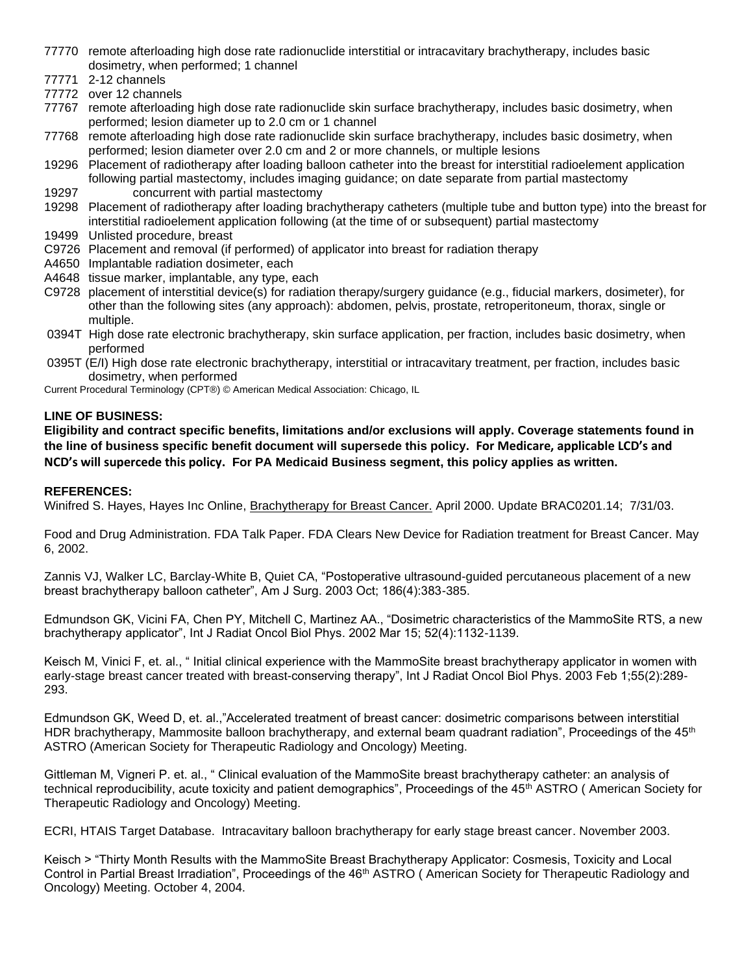- 77770 remote afterloading high dose rate radionuclide interstitial or intracavitary brachytherapy, includes basic dosimetry, when performed; 1 channel
- 77771 2-12 channels
- 77772 over 12 channels
- 77767 remote afterloading high dose rate radionuclide skin surface brachytherapy, includes basic dosimetry, when performed; lesion diameter up to 2.0 cm or 1 channel
- 77768 remote afterloading high dose rate radionuclide skin surface brachytherapy, includes basic dosimetry, when performed; lesion diameter over 2.0 cm and 2 or more channels, or multiple lesions
- 19296 Placement of radiotherapy after loading balloon catheter into the breast for interstitial radioelement application following partial mastectomy, includes imaging guidance; on date separate from partial mastectomy 19297 concurrent with partial mastectomy
- 19298 Placement of radiotherapy after loading brachytherapy catheters (multiple tube and button type) into the breast for interstitial radioelement application following (at the time of or subsequent) partial mastectomy
- 19499 Unlisted procedure, breast
- C9726 Placement and removal (if performed) of applicator into breast for radiation therapy
- A4650 Implantable radiation dosimeter, each
- A4648 tissue marker, implantable, any type, each
- C9728 placement of interstitial device(s) for radiation therapy/surgery guidance (e.g., fiducial markers, dosimeter), for other than the following sites (any approach): abdomen, pelvis, prostate, retroperitoneum, thorax, single or multiple.
- 0394T High dose rate electronic brachytherapy, skin surface application, per fraction, includes basic dosimetry, when performed
- 0395T (E/I) High dose rate electronic brachytherapy, interstitial or intracavitary treatment, per fraction, includes basic dosimetry, when performed

Current Procedural Terminology (CPT®) © American Medical Association: Chicago, IL

#### **LINE OF BUSINESS:**

**Eligibility and contract specific benefits, limitations and/or exclusions will apply. Coverage statements found in the line of business specific benefit document will supersede this policy. For Medicare, applicable LCD's and NCD's will supercede this policy. For PA Medicaid Business segment, this policy applies as written.**

#### **REFERENCES:**

Winifred S. Hayes, Hayes Inc Online, Brachytherapy for Breast Cancer. April 2000. Update BRAC0201.14; 7/31/03.

Food and Drug Administration. FDA Talk Paper. FDA Clears New Device for Radiation treatment for Breast Cancer. May 6, 2002.

Zannis VJ, Walker LC, Barclay-White B, Quiet CA, "Postoperative ultrasound-guided percutaneous placement of a new breast brachytherapy balloon catheter", Am J Surg. 2003 Oct; 186(4):383-385.

Edmundson GK, Vicini FA, Chen PY, Mitchell C, Martinez AA., "Dosimetric characteristics of the MammoSite RTS, a new brachytherapy applicator", Int J Radiat Oncol Biol Phys. 2002 Mar 15; 52(4):1132-1139.

Keisch M, Vinici F, et. al., " Initial clinical experience with the MammoSite breast brachytherapy applicator in women with early-stage breast cancer treated with breast-conserving therapy", Int J Radiat Oncol Biol Phys. 2003 Feb 1;55(2):289- 293.

Edmundson GK, Weed D, et. al.,"Accelerated treatment of breast cancer: dosimetric comparisons between interstitial HDR brachytherapy, Mammosite balloon brachytherapy, and external beam quadrant radiation", Proceedings of the 45<sup>th</sup> ASTRO (American Society for Therapeutic Radiology and Oncology) Meeting.

Gittleman M, Vigneri P. et. al., " Clinical evaluation of the MammoSite breast brachytherapy catheter: an analysis of technical reproducibility, acute toxicity and patient demographics", Proceedings of the 45<sup>th</sup> ASTRO (American Society for Therapeutic Radiology and Oncology) Meeting.

ECRI, HTAIS Target Database.Intracavitary balloon brachytherapy for early stage breast cancer. November 2003.

Keisch > "Thirty Month Results with the MammoSite Breast Brachytherapy Applicator: Cosmesis, Toxicity and Local Control in Partial Breast Irradiation", Proceedings of the 46<sup>th</sup> ASTRO (American Society for Therapeutic Radiology and Oncology) Meeting. October 4, 2004.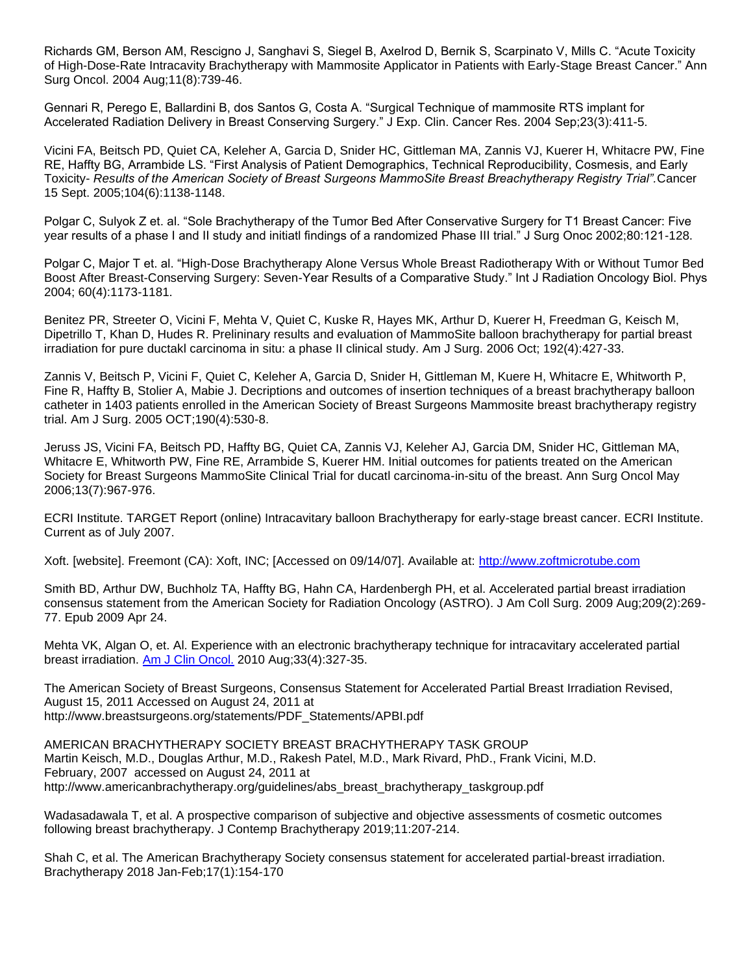Richards GM, Berson AM, Rescigno J, Sanghavi S, Siegel B, Axelrod D, Bernik S, Scarpinato V, Mills C. "Acute Toxicity of High-Dose-Rate Intracavity Brachytherapy with Mammosite Applicator in Patients with Early-Stage Breast Cancer." Ann Surg Oncol. 2004 Aug;11(8):739-46.

Gennari R, Perego E, Ballardini B, dos Santos G, Costa A. "Surgical Technique of mammosite RTS implant for Accelerated Radiation Delivery in Breast Conserving Surgery." J Exp. Clin. Cancer Res. 2004 Sep;23(3):411-5.

Vicini FA, Beitsch PD, Quiet CA, Keleher A, Garcia D, Snider HC, Gittleman MA, Zannis VJ, Kuerer H, Whitacre PW, Fine RE, Haffty BG, Arrambide LS. "First Analysis of Patient Demographics, Technical Reproducibility, Cosmesis, and Early Toxicity- *Results of the American Society of Breast Surgeons MammoSite Breast Breachytherapy Registry Trial".*Cancer 15 Sept. 2005;104(6):1138-1148.

Polgar C, Sulyok Z et. al. "Sole Brachytherapy of the Tumor Bed After Conservative Surgery for T1 Breast Cancer: Five year results of a phase I and II study and initiatl findings of a randomized Phase III trial." J Surg Onoc 2002;80:121-128.

Polgar C, Major T et. al. "High-Dose Brachytherapy Alone Versus Whole Breast Radiotherapy With or Without Tumor Bed Boost After Breast-Conserving Surgery: Seven-Year Results of a Comparative Study." Int J Radiation Oncology Biol. Phys 2004; 60(4):1173-1181.

Benitez PR, Streeter O, Vicini F, Mehta V, Quiet C, Kuske R, Hayes MK, Arthur D, Kuerer H, Freedman G, Keisch M, Dipetrillo T, Khan D, Hudes R. Prelininary results and evaluation of MammoSite balloon brachytherapy for partial breast irradiation for pure ductakl carcinoma in situ: a phase II clinical study. Am J Surg. 2006 Oct; 192(4):427-33.

Zannis V, Beitsch P, Vicini F, Quiet C, Keleher A, Garcia D, Snider H, Gittleman M, Kuere H, Whitacre E, Whitworth P, Fine R, Haffty B, Stolier A, Mabie J. Decriptions and outcomes of insertion techniques of a breast brachytherapy balloon catheter in 1403 patients enrolled in the American Society of Breast Surgeons Mammosite breast brachytherapy registry trial. Am J Surg. 2005 OCT;190(4):530-8.

Jeruss JS, Vicini FA, Beitsch PD, Haffty BG, Quiet CA, Zannis VJ, Keleher AJ, Garcia DM, Snider HC, Gittleman MA, Whitacre E, Whitworth PW, Fine RE, Arrambide S, Kuerer HM. Initial outcomes for patients treated on the American Society for Breast Surgeons MammoSite Clinical Trial for ducatl carcinoma-in-situ of the breast. Ann Surg Oncol May 2006;13(7):967-976.

ECRI Institute. TARGET Report (online) Intracavitary balloon Brachytherapy for early-stage breast cancer. ECRI Institute. Current as of July 2007.

Xoft. [website]. Freemont (CA): Xoft, INC; [Accessed on 09/14/07]. Available at: [http://www.zoftmicrotube.com](http://www.zoftmicrotube.com/)

Smith BD, Arthur DW, Buchholz TA, Haffty BG, Hahn CA, Hardenbergh PH, et al. Accelerated partial breast irradiation consensus statement from the American Society for Radiation Oncology (ASTRO). J Am Coll Surg. 2009 Aug;209(2):269- 77. Epub 2009 Apr 24.

Mehta VK, Algan O, et. Al. Experience with an electronic brachytherapy technique for intracavitary accelerated partial breast irradiation. Am [J Clin Oncol.](http://www.ncbi.nlm.nih.gov/pubmed/20375833) 2010 Aug;33(4):327-35.

The American Society of Breast Surgeons, Consensus Statement for Accelerated Partial Breast Irradiation Revised, August 15, 2011 Accessed on August 24, 2011 at http://www.breastsurgeons.org/statements/PDF\_Statements/APBI.pdf

AMERICAN BRACHYTHERAPY SOCIETY BREAST BRACHYTHERAPY TASK GROUP Martin Keisch, M.D., Douglas Arthur, M.D., Rakesh Patel, M.D., Mark Rivard, PhD., Frank Vicini, M.D. February, 2007 accessed on August 24, 2011 at http://www.americanbrachytherapy.org/guidelines/abs\_breast\_brachytherapy\_taskgroup.pdf

Wadasadawala T, et al. A prospective comparison of subjective and objective assessments of cosmetic outcomes following breast brachytherapy. J Contemp Brachytherapy 2019;11:207-214.

Shah C, et al. The American Brachytherapy Society consensus statement for accelerated partial-breast irradiation. Brachytherapy 2018 Jan-Feb;17(1):154-170